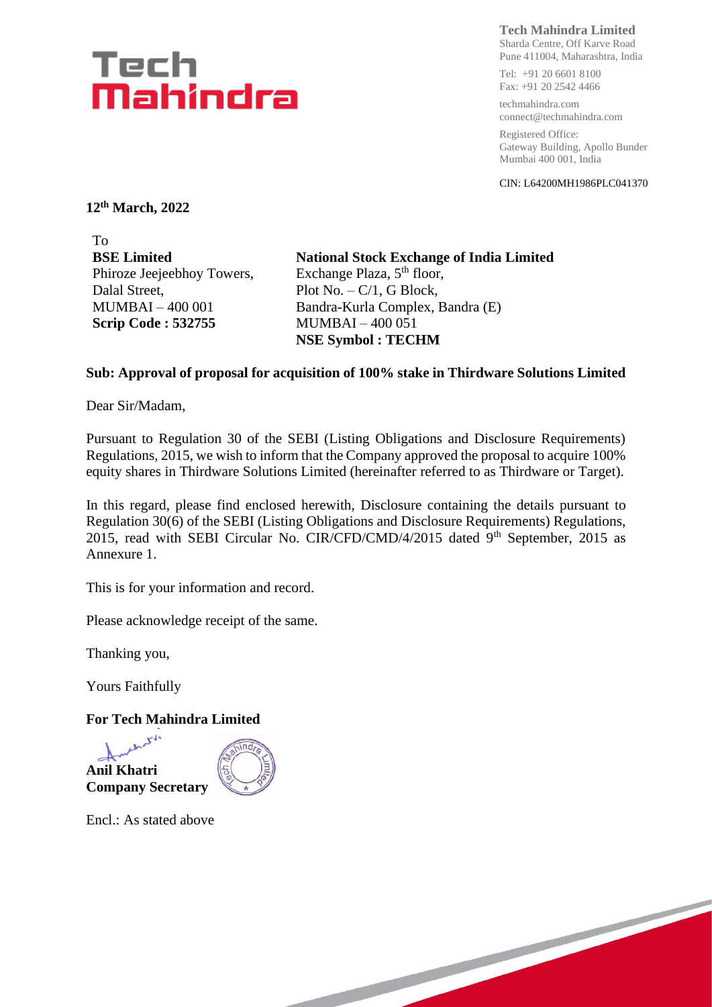# Tech Mahindra

**Tech Mahindra Limited**

Sharda Centre, Off Karve Road Pune 411004, Maharashtra, India

Tel: +91 20 6601 8100 Fax: +91 20 2542 4466

techmahindra.com connect@techmahindra.com

Registered Office: Gateway Building, Apollo Bunder Mumbai 400 001, India

CIN: L64200MH1986PLC041370

**12th March, 2022**

To **BSE Limited** Phiroze Jeejeebhoy Towers, Dalal Street, MUMBAI – 400 001 **Scrip Code : 532755**

**National Stock Exchange of India Limited** Exchange Plaza, 5<sup>th</sup> floor, Plot No. – C/1, G Block, Bandra-Kurla Complex, Bandra (E) MUMBAI – 400 051 **NSE Symbol : TECHM**

## **Sub: Approval of proposal for acquisition of 100% stake in Thirdware Solutions Limited**

Dear Sir/Madam,

Pursuant to Regulation 30 of the SEBI (Listing Obligations and Disclosure Requirements) Regulations, 2015, we wish to inform that the Company approved the proposal to acquire 100% equity shares in Thirdware Solutions Limited (hereinafter referred to as Thirdware or Target).

In this regard, please find enclosed herewith, Disclosure containing the details pursuant to Regulation 30(6) of the SEBI (Listing Obligations and Disclosure Requirements) Regulations, 2015, read with SEBI Circular No. CIR/CFD/CMD/4/2015 dated  $9<sup>th</sup>$  September, 2015 as Annexure 1.

This is for your information and record.

Please acknowledge receipt of the same.

Thanking you,

Yours Faithfully

## **For Tech Mahindra Limited**





Encl.: As stated above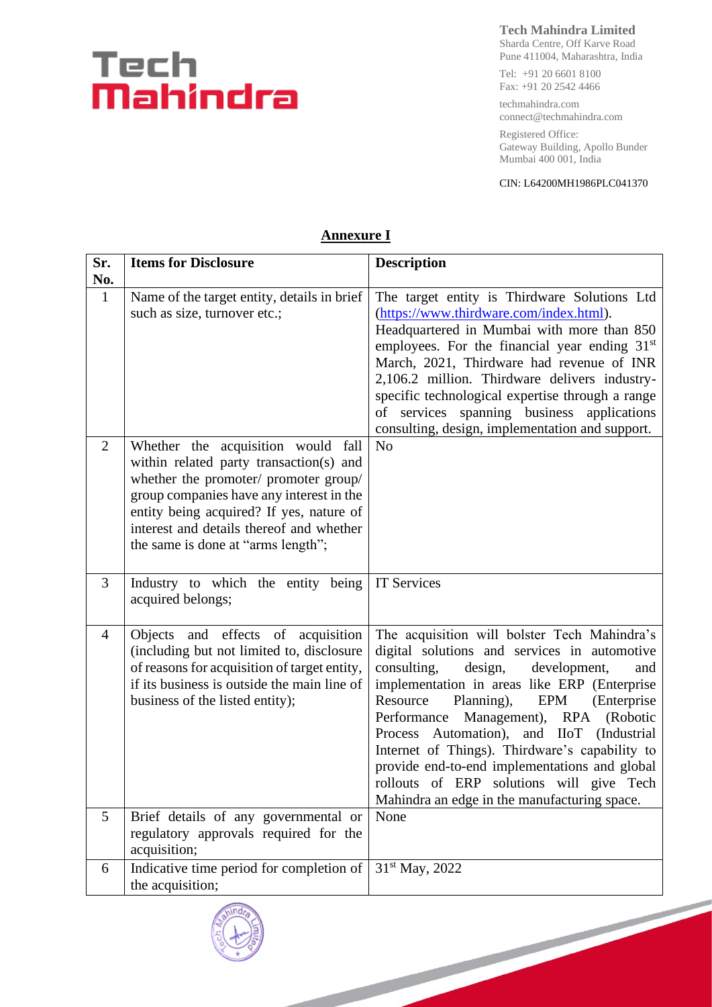# Tech<br>Mahindra

**Tech Mahindra Limited**

Sharda Centre, Off Karve Road Pune 411004, Maharashtra, India

Tel: +91 20 6601 8100 Fax: +91 20 2542 4466

techmahindra.com connect@techmahindra.com

Registered Office: Gateway Building, Apollo Bunder Mumbai 400 001, India

#### CIN: L64200MH1986PLC041370

| Sr.<br>No.     | <b>Items for Disclosure</b>                                                                                                                                                                                                                                                                      | <b>Description</b>                                                                                                                                                                                                                                                                                                                                                                                                                                                                                                                  |
|----------------|--------------------------------------------------------------------------------------------------------------------------------------------------------------------------------------------------------------------------------------------------------------------------------------------------|-------------------------------------------------------------------------------------------------------------------------------------------------------------------------------------------------------------------------------------------------------------------------------------------------------------------------------------------------------------------------------------------------------------------------------------------------------------------------------------------------------------------------------------|
| $\mathbf{1}$   | Name of the target entity, details in brief<br>such as size, turnover etc.;                                                                                                                                                                                                                      | The target entity is Thirdware Solutions Ltd<br>(https://www.thirdware.com/index.html).<br>Headquartered in Mumbai with more than 850<br>employees. For the financial year ending 31 <sup>st</sup><br>March, 2021, Thirdware had revenue of INR<br>2,106.2 million. Thirdware delivers industry-<br>specific technological expertise through a range<br>of services spanning business applications<br>consulting, design, implementation and support.                                                                               |
| $\overline{2}$ | Whether the acquisition would fall<br>within related party transaction(s) and<br>whether the promoter/ promoter group/<br>group companies have any interest in the<br>entity being acquired? If yes, nature of<br>interest and details thereof and whether<br>the same is done at "arms length"; | N <sub>o</sub>                                                                                                                                                                                                                                                                                                                                                                                                                                                                                                                      |
| 3              | Industry to which the entity being<br>acquired belongs;                                                                                                                                                                                                                                          | <b>IT Services</b>                                                                                                                                                                                                                                                                                                                                                                                                                                                                                                                  |
| $\overline{4}$ | Objects and effects of acquisition<br>(including but not limited to, disclosure<br>of reasons for acquisition of target entity,<br>if its business is outside the main line of<br>business of the listed entity);                                                                                | The acquisition will bolster Tech Mahindra's<br>digital solutions and services in automotive<br>consulting,<br>design,<br>development,<br>and<br>implementation in areas like ERP (Enterprise<br>Resource<br>EPM<br>Planning),<br>(Enterprise)<br>Performance Management), RPA (Robotic<br>Process Automation), and IIoT (Industrial<br>Internet of Things). Thirdware's capability to<br>provide end-to-end implementations and global<br>rollouts of ERP solutions will give Tech<br>Mahindra an edge in the manufacturing space. |
| 5              | Brief details of any governmental or<br>regulatory approvals required for the<br>acquisition;                                                                                                                                                                                                    | None                                                                                                                                                                                                                                                                                                                                                                                                                                                                                                                                |
| 6              | Indicative time period for completion of<br>the acquisition;                                                                                                                                                                                                                                     | 31 <sup>st</sup> May, 2022                                                                                                                                                                                                                                                                                                                                                                                                                                                                                                          |
|                |                                                                                                                                                                                                                                                                                                  |                                                                                                                                                                                                                                                                                                                                                                                                                                                                                                                                     |

### **Annexure I**